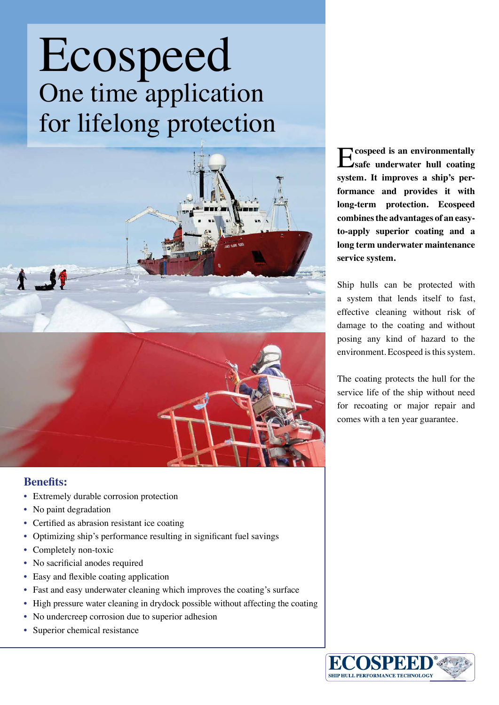## Ecospeed One time application for lifelong protection



## **Benefits:**

- Extremely durable corrosion protection
- No paint degradation
- Certified as abrasion resistant ice coating
- Optimizing ship's performance resulting in significant fuel savings
- Completely non-toxic
- No sacrificial anodes required
- Easy and flexible coating application
- Fast and easy underwater cleaning which improves the coating's surface
- High pressure water cleaning in drydock possible without affecting the coating
- No undercreep corrosion due to superior adhesion
- Superior chemical resistance

E**cospeed is an environmentally safe underwater hull coating system. It improves a ship's performance and provides it with long-term protection. Ecospeed combines the advantages of an easyto-apply superior coating and a long term underwater maintenance service system.** 

Ship hulls can be protected with a system that lends itself to fast, effective cleaning without risk of damage to the coating and without posing any kind of hazard to the environment. Ecospeed is this system.

The coating protects the hull for the service life of the ship without need for recoating or major repair and comes with a ten year guarantee.